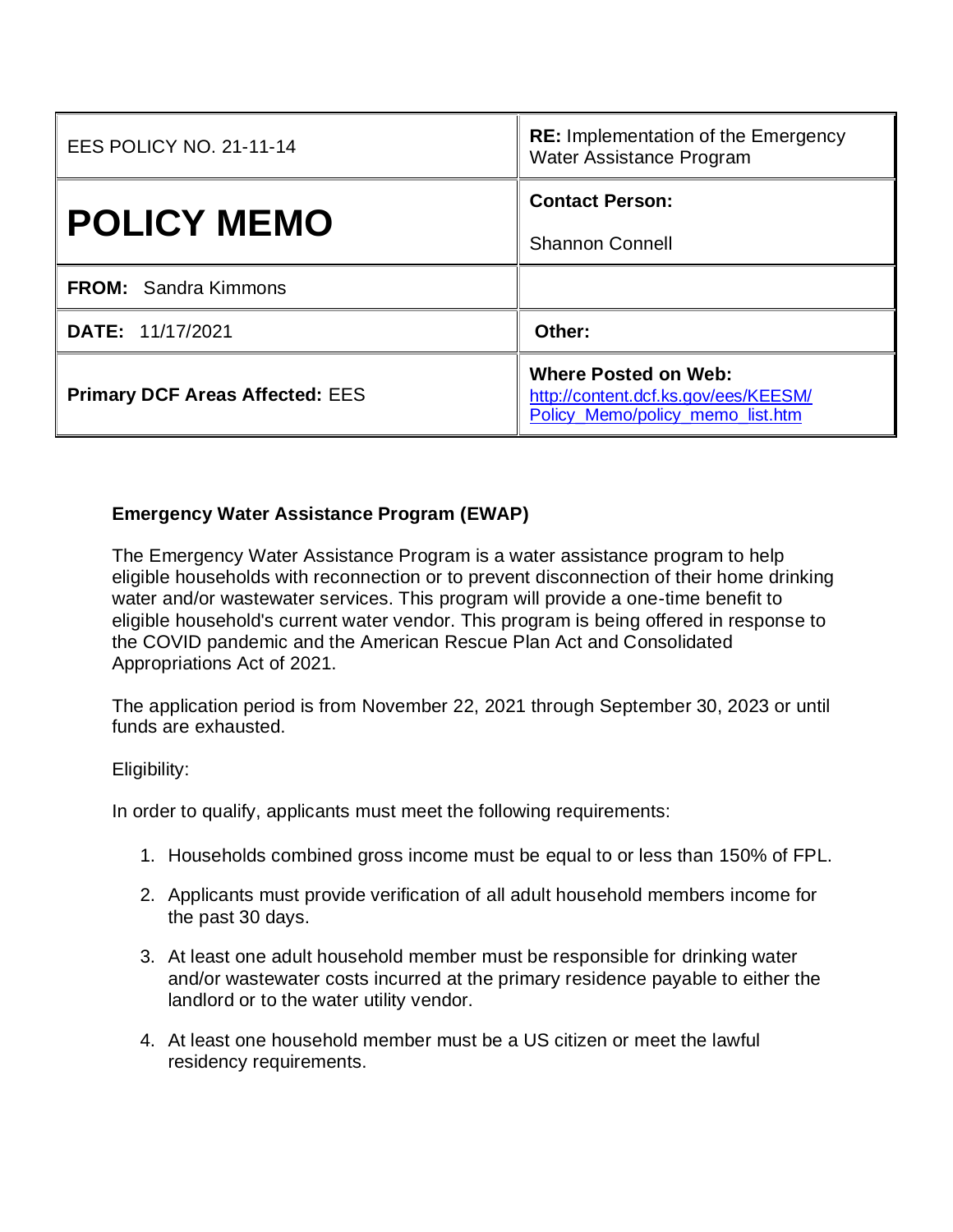| <b>EES POLICY NO. 21-11-14</b>         | <b>RE:</b> Implementation of the Emergency<br>Water Assistance Program                                  |
|----------------------------------------|---------------------------------------------------------------------------------------------------------|
| <b>POLICY MEMO</b>                     | <b>Contact Person:</b>                                                                                  |
|                                        | <b>Shannon Connell</b>                                                                                  |
| <b>FROM:</b> Sandra Kimmons            |                                                                                                         |
| <b>DATE: 11/17/2021</b>                | Other:                                                                                                  |
| <b>Primary DCF Areas Affected: EES</b> | <b>Where Posted on Web:</b><br>http://content.dcf.ks.gov/ees/KEESM/<br>Policy_Memo/policy_memo_list.htm |

## **Emergency Water Assistance Program (EWAP)**

The Emergency Water Assistance Program is a water assistance program to help eligible households with reconnection or to prevent disconnection of their home drinking water and/or wastewater services. This program will provide a one-time benefit to eligible household's current water vendor. This program is being offered in response to the COVID pandemic and the American Rescue Plan Act and Consolidated Appropriations Act of 2021.

The application period is from November 22, 2021 through September 30, 2023 or until funds are exhausted.

## Eligibility:

In order to qualify, applicants must meet the following requirements:

- 1. Households combined gross income must be equal to or less than 150% of FPL.
- 2. Applicants must provide verification of all adult household members income for the past 30 days.
- 3. At least one adult household member must be responsible for drinking water and/or wastewater costs incurred at the primary residence payable to either the landlord or to the water utility vendor.
- 4. At least one household member must be a US citizen or meet the lawful residency requirements.